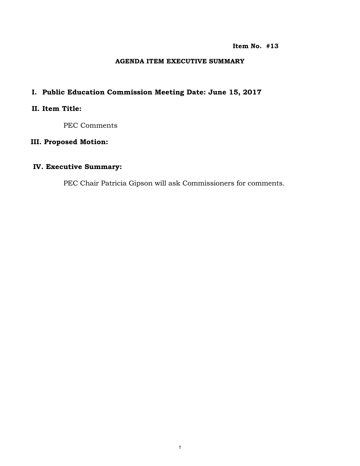#### **Item No. #13**

#### **AGENDA ITEM EXECUTIVE SUMMARY**

## **I. Public Education Commission Meeting Date: June 15, 2017**

## **II. Item Title:**

PEC Comments

### **III. Proposed Motion:**

## **IV. Executive Summary:**

PEC Chair Patricia Gipson will ask Commissioners for comments.